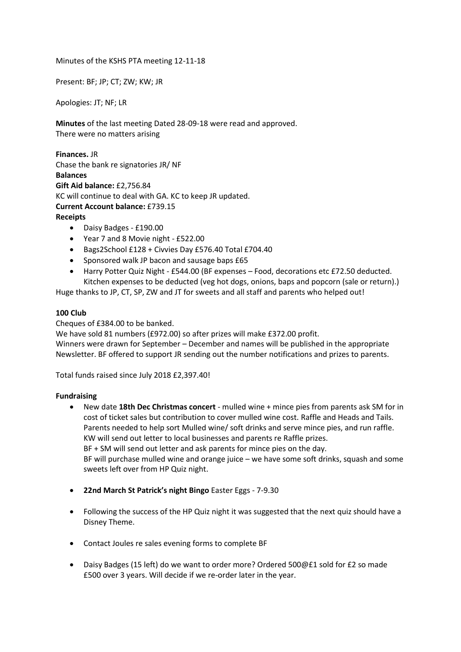Minutes of the KSHS PTA meeting 12-11-18

Present: BF; JP; CT; ZW; KW; JR

Apologies: JT; NF; LR

**Minutes** of the last meeting Dated 28-09-18 were read and approved. There were no matters arising

**Finances.** JR Chase the bank re signatories JR/ NF **Balances Gift Aid balance:** £2,756.84 KC will continue to deal with GA. KC to keep JR updated. **Current Account balance:** £739.15 **Receipts**

- Daisy Badges £190.00
- Year 7 and 8 Movie night £522.00
- Bags2School £128 + Civvies Day £576.40 Total £704.40
- Sponsored walk JP bacon and sausage baps £65
- Harry Potter Quiz Night £544.00 (BF expenses Food, decorations etc £72.50 deducted. Kitchen expenses to be deducted (veg hot dogs, onions, baps and popcorn (sale or return).)

Huge thanks to JP, CT, SP, ZW and JT for sweets and all staff and parents who helped out!

## **100 Club**

Cheques of £384.00 to be banked.

We have sold 81 numbers (£972.00) so after prizes will make £372.00 profit. Winners were drawn for September – December and names will be published in the appropriate Newsletter. BF offered to support JR sending out the number notifications and prizes to parents.

Total funds raised since July 2018 £2,397.40!

## **Fundraising**

- New date **18th Dec Christmas concert** mulled wine + mince pies from parents ask SM for in cost of ticket sales but contribution to cover mulled wine cost. Raffle and Heads and Tails. Parents needed to help sort Mulled wine/ soft drinks and serve mince pies, and run raffle. KW will send out letter to local businesses and parents re Raffle prizes. BF + SM will send out letter and ask parents for mince pies on the day. BF will purchase mulled wine and orange juice – we have some soft drinks, squash and some sweets left over from HP Quiz night.
- **22nd March St Patrick's night Bingo** Easter Eggs 7-9.30
- Following the success of the HP Quiz night it was suggested that the next quiz should have a Disney Theme.
- Contact Joules re sales evening forms to complete BF
- Daisy Badges (15 left) do we want to order more? Ordered 500@£1 sold for £2 so made £500 over 3 years. Will decide if we re-order later in the year.